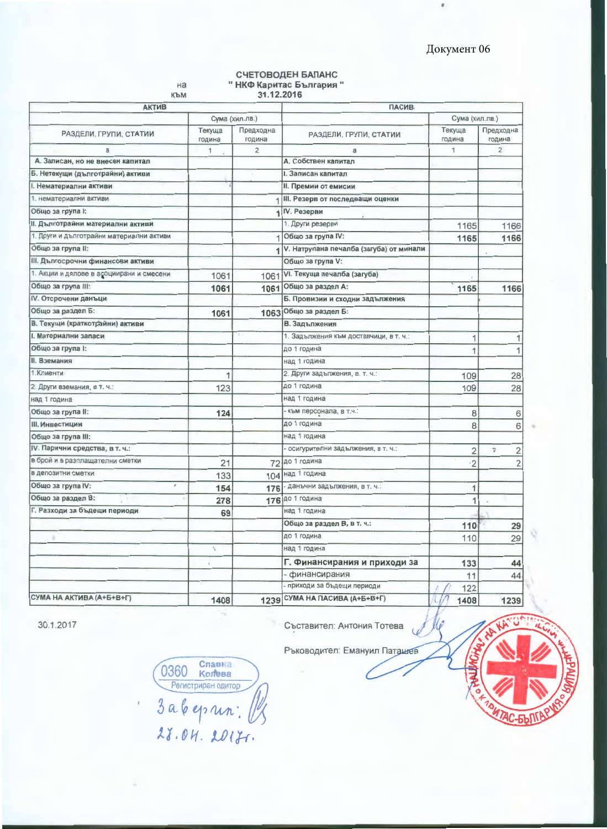ø.

# СЧЕТОВОДЕН БАЛАНС<br>"НКФ Каритас България"

на

| към<br><b>АКТИВ</b>                      |                                                  | 31.12.2016              | <b>ПАСИВ</b>                            |                  |                      |  |  |  |
|------------------------------------------|--------------------------------------------------|-------------------------|-----------------------------------------|------------------|----------------------|--|--|--|
|                                          |                                                  | Сума (хил.лв.)          | Сума (хил.лв.)                          |                  |                      |  |  |  |
| РАЗДЕЛИ, ГРУПИ, СТАТИИ                   | Текуща<br>година                                 | Предходна<br>година     | РАЗДЕЛИ, ГРУПИ, СТАТИИ                  | Текуща<br>година | Предходна<br>година  |  |  |  |
| a                                        | 1                                                | $\overline{\mathbf{c}}$ | a                                       | 1                | $\overline{2}$       |  |  |  |
| А. Записан, но не внесен капитал         |                                                  |                         | А. Собствен капитал                     |                  |                      |  |  |  |
| Б. Нетекущи (дълготрайни) активи         |                                                  |                         | <b>І. Записан капитал</b>               |                  |                      |  |  |  |
| <b>І. Нематериални активи</b>            |                                                  |                         | <b>II. Премии от емисии</b>             |                  |                      |  |  |  |
| 1. нематериални активи                   |                                                  |                         | 1 III. Резерв от последващи оценки      |                  |                      |  |  |  |
| Общо за група І:                         |                                                  |                         | IV. Резерви                             |                  |                      |  |  |  |
| II. Дълготрайни материални активи        |                                                  |                         | 1. Други резерви                        | 1165             | 1166                 |  |  |  |
| 1. Други и дълготрайни материални активи |                                                  |                         | Общо за група IV:                       | 1165             | 1166                 |  |  |  |
| Общо за група II:                        |                                                  |                         | V. Натрупана печалба (загуба) от минали |                  |                      |  |  |  |
| III. Дългосрочни финансови активи        |                                                  |                         | Общо за група V:                        |                  |                      |  |  |  |
| 1. Акции и дялове в асоциирани и смесени | 1061                                             | 1061                    | VI. Текуща печалба (загуба)             |                  |                      |  |  |  |
| Общо за група III:                       | 1061                                             | 1061                    | Общо за раздел А:                       | 1165             | 1166                 |  |  |  |
| IV. Отсрочени данъци                     |                                                  |                         | Б. Провизии и сходни задължения         |                  |                      |  |  |  |
| Общо за раздел Б:                        | 1061                                             | 1063                    | Общо за раздел Б:                       |                  |                      |  |  |  |
| В. Текущи (краткотрайни) активи          |                                                  |                         | В. Задължения                           |                  |                      |  |  |  |
| <b>І. Материални запаси</b>              |                                                  |                         | 1. Задължения към доставчици, в т. ч.:  | 1                | 1                    |  |  |  |
| Общо за група І:                         |                                                  |                         | до 1 година                             | 1                | $\overline{1}$       |  |  |  |
| <b>II. Вземания</b>                      |                                                  |                         | над 1 година                            |                  |                      |  |  |  |
| 1. Клиенти                               | 1                                                |                         | 2. Други задължения, в. т. ч.:          | 109              | 28                   |  |  |  |
| 2. Други вземания, в т. ч.:              | 123                                              |                         | до 1 година                             | 109              | 28                   |  |  |  |
| над 1 година                             |                                                  |                         | над 1 година                            |                  |                      |  |  |  |
| Общо за група II:                        | 124                                              |                         | - към персонала, в т.ч.:                | 8                | 6                    |  |  |  |
| III. Инвестиции                          |                                                  |                         | до 1 година                             | 8                | 6                    |  |  |  |
| Общо за група III:                       |                                                  |                         | над 1 година                            |                  |                      |  |  |  |
| IV. Парични средства, в т. ч.:           |                                                  |                         | осигурителни задължения, в т. ч.:       | $\overline{2}$   | ÷,<br>$\overline{c}$ |  |  |  |
| в брой и в разплащателни сметки          | 21                                               |                         | 72 до 1 година                          | $\cdot$ 2        | $\overline{2}$       |  |  |  |
| в депозитни сметки                       | 133                                              | 104                     | над 1 година                            |                  |                      |  |  |  |
| Общо за група IV:                        | 154                                              | 176                     | - данъчни задължения, в т. ч.:          | 1                |                      |  |  |  |
| Общо за раздел В:                        | 278                                              | 176                     | до 1 година                             | 1                |                      |  |  |  |
| Г. Разходи за бъдещи периоди             | 69                                               |                         | над 1 година                            |                  |                      |  |  |  |
|                                          |                                                  |                         | Общо за раздел В, в т. ч.:              | 110              | 29                   |  |  |  |
| à                                        |                                                  |                         | до 1 година                             | 110              | 29                   |  |  |  |
|                                          | f,                                               |                         | над 1 година                            |                  |                      |  |  |  |
|                                          | $\mathbb{R}$                                     |                         | Г. Финансирания и приходи за            | 133              | 44                   |  |  |  |
|                                          |                                                  |                         | финансирания                            | 11               | 44                   |  |  |  |
|                                          |                                                  |                         | - приходи за бъдещи периоди             | 122              |                      |  |  |  |
| СУМА НА АКТИВА (А+Б+В+Г)                 | СУМА НА ПАСИВА (А+Б+В+Г)<br>1408<br>1408<br>1239 |                         | 1239                                    |                  |                      |  |  |  |

30.1.2017

Съставител: Антония Тотева

Ръководител: Емануил Паташев

 $\overline{u}$ 

Славка<br>Колева 0360 Kontena 3 a 6 eprin : [

 $\bar{t}$ 

×.

<u> АС-БЪЛГР</u>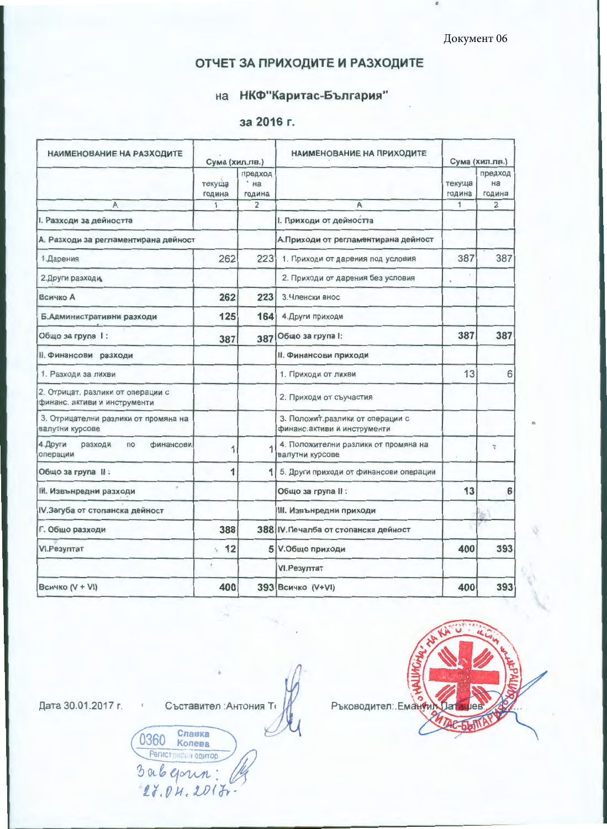Документ 06

# ОТЧЕТ ЗА ПРИХОДИТЕ И РАЗХОДИТЕ

# на НКФ"Каритас-България"

## за 2016 г.

| НАИМЕНОВАНИЕ НА РАЗХОДИТЕ                                         | Сума (хил.лв.)   |                         | НАИМЕНОВАНИЕ НА ПРИХОДИТЕ                                       | Сума (хил.лв.)   |                         |
|-------------------------------------------------------------------|------------------|-------------------------|-----------------------------------------------------------------|------------------|-------------------------|
|                                                                   | текуща<br>година | предход<br>на<br>година |                                                                 | текуща<br>година | предход<br>на<br>година |
| A                                                                 | 1                | $\overline{2}$          | A                                                               | 1                | $\overline{2}$          |
| I. Разходи за дейността                                           |                  |                         | I. Приходи от дейността                                         |                  |                         |
| А. Разходи за регламентирана дейност                              |                  |                         | А. Приходи от регламентирана дейност                            |                  |                         |
| 1. Дарения                                                        | 262              | 223                     | 1. Приходи от дарения под условия                               | 387              | 387                     |
| 2. Други разходи                                                  |                  |                         | 2. Приходи от дарения без условия                               |                  |                         |
| <b>Всичко А</b>                                                   | 262              | 223                     | 3. Членски внос                                                 |                  |                         |
| Б.Административни разходи                                         | 125              | 164                     | 4. Други приходи                                                |                  |                         |
| Общо за група 1:                                                  | 387              | 387                     | Общо за група I:                                                |                  | 387                     |
| <b>II. Финансови разходи</b>                                      |                  |                         | <b>II. Финансови приходи</b>                                    |                  |                         |
| 1. Разходи за лихви                                               |                  |                         | 1. Приходи от лихви                                             | 13               | 6                       |
| 2. Отрицат. разлики от операции с<br>финанс. активи и инструменти |                  |                         | 2. Приходи от съучастия                                         |                  |                         |
| 3. Отрицателни разлики от промяна на<br>валутни курсове           |                  |                         | 3. Положит.разлики от операции с<br>финанс.активи и инструменти |                  |                         |
| 4. Други<br>разходи<br>$\mathsf{no}$<br>финансови<br>операции     | 1                |                         | 4. Положителни разлики от промяна на<br>валутни курсове         |                  | $\frac{a_2}{a}$         |
| Общо за група II:                                                 | 1                | 1                       | 5. Други приходи от финансови операции                          |                  |                         |
| <b>III. Извънредни разходи</b>                                    |                  |                         | Общо за група II :                                              | 13               | 6                       |
| IV. Загуба от стопанска дейност                                   |                  |                         | III. Извънредни приходи                                         |                  |                         |
| Г. Общо разходи                                                   | 388              |                         | 388 IV. Печалба от стопанска дейност                            |                  |                         |
| VI.Резултат                                                       | 12<br>S.         |                         | 5 V.Общо приходи                                                | 400              | 393                     |
|                                                                   | $\tilde{z}$      |                         | VI.Резултат                                                     |                  |                         |
| <b>Всичко (V + VI)</b>                                            | 400              |                         | 393 Всичко (V+VI)                                               | 400              | 393                     |

Дата 30.01.2017 г. и Съставител : Антония Ти

**0360 Славка**<br>Регистриран одитор

3 ab gour:

 $27.04.2017$ 

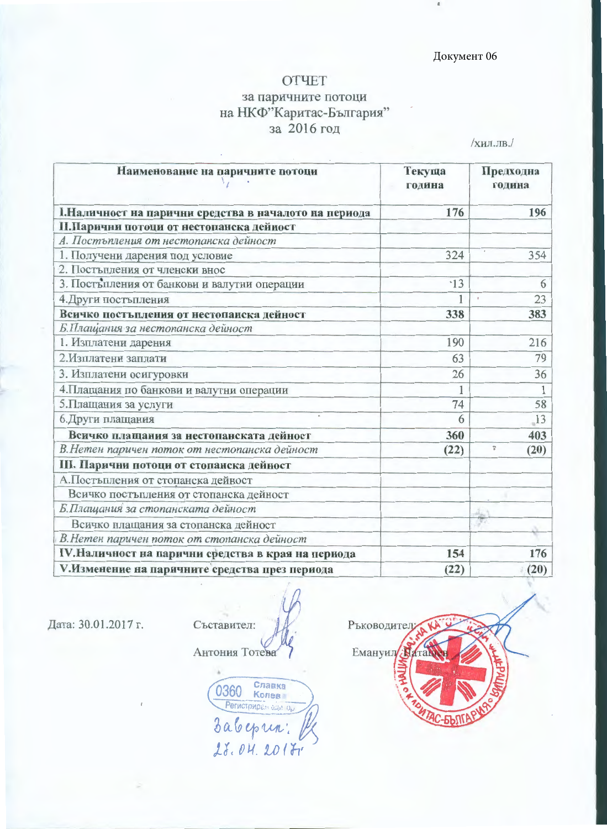### Документ 06

#### **OTYET**

# за паричните потоци на НКФ"Каритас-България" за 2016 год

/хил.лв./

| Наименование на паричните потоци                       | Текуща<br>година | Предходна<br>година          |  |
|--------------------------------------------------------|------------------|------------------------------|--|
| І. Наличност на парични средства в началото на периода | 176              | 196                          |  |
| П.Парични потоци от нестопанска дейност                |                  |                              |  |
| А. Постъпления от нестопанска дейност                  |                  |                              |  |
| 1. Получени дарения под условие                        | 324              | 354                          |  |
| 2. Постъпления от членски внос                         |                  |                              |  |
| 3. Постепления от банкови и валутни операции           | $-13$            | 6                            |  |
| 4. Други постъпления                                   | 1                | 23<br>$\bar{p}$              |  |
| Всичко постъпления от нестопанска дейност              | 338              | 383                          |  |
| Б.Плащания за нестопанска дейност                      |                  |                              |  |
| 1. Изплатени дарения                                   | 190              | 216                          |  |
| 2. Изплатени заплати                                   | 63               | 79                           |  |
| 3. Изплатени осигуровки                                | 26               | 36                           |  |
| 4. Плащания по банкови и валутни операции              |                  |                              |  |
| 5. Плащания за услуги                                  | 74               | 58                           |  |
| 6. Други плащания                                      | 6                | 13                           |  |
| Всичко плащания за нестопанската дейност               | 360              | 403                          |  |
| В. Нетен паричен поток от нестопанска дейност          | (22)             | $\frac{\omega_1}{b}$<br>(20) |  |
| III. Парични потоци от стопанска дейност               |                  |                              |  |
| А.Постъпления от стопанска дейност                     |                  |                              |  |
| Всичко постыпления от стопанска дейност                |                  |                              |  |
| Б.Плащания за стопанската дейност                      |                  |                              |  |
| Всичко плащания за стопанска дейност                   |                  |                              |  |
| В.Нетен паричен поток от стопанска дейност             |                  |                              |  |
| IV. Наличност на парични средства в края на периода    | 154              | 176                          |  |
| V.Изменение на паричните средства през периода         | (22)             | (20)                         |  |

Дата: 30.01.2017 г.

Съставител: Антония Тотева

**0360 Chanka**<br>Periorphipan dan de Babeprin: 28.04.2017